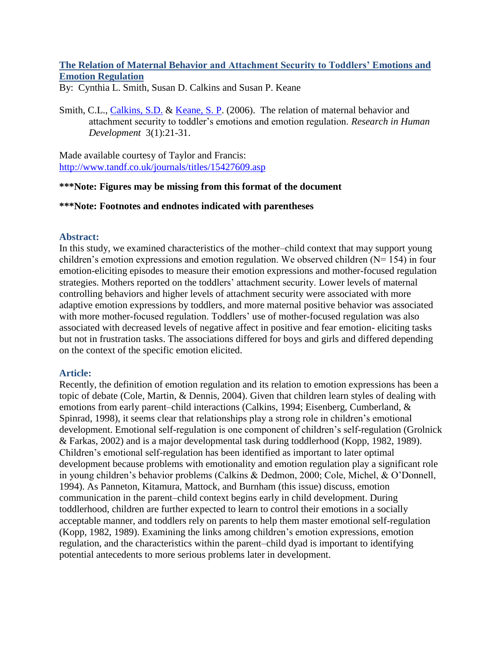# **The Relation of Maternal Behavior and Attachment Security to Toddlers' Emotions and Emotion Regulation**

By: Cynthia L. Smith, Susan D. Calkins and Susan P. Keane

Smith, C.L., [Calkins, S.D.](http://libres.uncg.edu/ir/clist.aspx?id=1258) & [Keane, S. P.](http://libres.uncg.edu/ir/clist.aspx?id=557) (2006). The relation of maternal behavior and attachment security to toddler's emotions and emotion regulation. *Research in Human Development* 3(1):21-31.

Made available courtesy of Taylor and Francis: <http://www.tandf.co.uk/journals/titles/15427609.asp>

## **\*\*\*Note: Figures may be missing from this format of the document**

## **\*\*\*Note: Footnotes and endnotes indicated with parentheses**

## **Abstract:**

In this study, we examined characteristics of the mother–child context that may support young children's emotion expressions and emotion regulation. We observed children  $(N= 154)$  in four emotion-eliciting episodes to measure their emotion expressions and mother-focused regulation strategies. Mothers reported on the toddlers' attachment security. Lower levels of maternal controlling behaviors and higher levels of attachment security were associated with more adaptive emotion expressions by toddlers, and more maternal positive behavior was associated with more mother-focused regulation. Toddlers' use of mother-focused regulation was also associated with decreased levels of negative affect in positive and fear emotion- eliciting tasks but not in frustration tasks. The associations differed for boys and girls and differed depending on the context of the specific emotion elicited.

## **Article:**

Recently, the definition of emotion regulation and its relation to emotion expressions has been a topic of debate (Cole, Martin, & Dennis, 2004). Given that children learn styles of dealing with emotions from early parent–child interactions (Calkins, 1994; Eisenberg, Cumberland, & Spinrad, 1998), it seems clear that relationships play a strong role in children's emotional development. Emotional self-regulation is one component of children's self-regulation (Grolnick & Farkas, 2002) and is a major developmental task during toddlerhood (Kopp, 1982, 1989). Children's emotional self-regulation has been identified as important to later optimal development because problems with emotionality and emotion regulation play a significant role in young children's behavior problems (Calkins & Dedmon, 2000; Cole, Michel, & O'Donnell, 1994). As Panneton, Kitamura, Mattock, and Burnham (this issue) discuss, emotion communication in the parent–child context begins early in child development. During toddlerhood, children are further expected to learn to control their emotions in a socially acceptable manner, and toddlers rely on parents to help them master emotional self-regulation (Kopp, 1982, 1989). Examining the links among children's emotion expressions, emotion regulation, and the characteristics within the parent–child dyad is important to identifying potential antecedents to more serious problems later in development.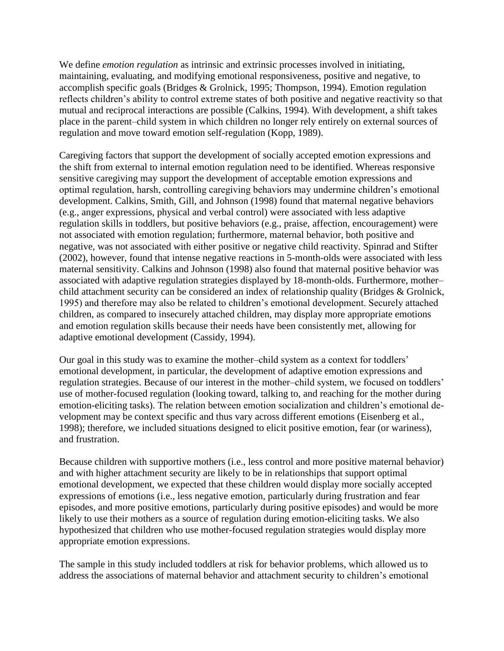We define *emotion regulation* as intrinsic and extrinsic processes involved in initiating, maintaining, evaluating, and modifying emotional responsiveness, positive and negative, to accomplish specific goals (Bridges & Grolnick, 1995; Thompson, 1994). Emotion regulation reflects children's ability to control extreme states of both positive and negative reactivity so that mutual and reciprocal interactions are possible (Calkins, 1994). With development, a shift takes place in the parent–child system in which children no longer rely entirely on external sources of regulation and move toward emotion self-regulation (Kopp, 1989).

Caregiving factors that support the development of socially accepted emotion expressions and the shift from external to internal emotion regulation need to be identified. Whereas responsive sensitive caregiving may support the development of acceptable emotion expressions and optimal regulation, harsh, controlling caregiving behaviors may undermine children's emotional development. Calkins, Smith, Gill, and Johnson (1998) found that maternal negative behaviors (e.g., anger expressions, physical and verbal control) were associated with less adaptive regulation skills in toddlers, but positive behaviors (e.g., praise, affection, encouragement) were not associated with emotion regulation; furthermore, maternal behavior, both positive and negative, was not associated with either positive or negative child reactivity. Spinrad and Stifter (2002), however, found that intense negative reactions in 5-month-olds were associated with less maternal sensitivity. Calkins and Johnson (1998) also found that maternal positive behavior was associated with adaptive regulation strategies displayed by 18-month-olds. Furthermore, mother– child attachment security can be considered an index of relationship quality (Bridges & Grolnick, 1995) and therefore may also be related to children's emotional development. Securely attached children, as compared to insecurely attached children, may display more appropriate emotions and emotion regulation skills because their needs have been consistently met, allowing for adaptive emotional development (Cassidy, 1994).

Our goal in this study was to examine the mother–child system as a context for toddlers' emotional development, in particular, the development of adaptive emotion expressions and regulation strategies. Because of our interest in the mother–child system, we focused on toddlers' use of mother-focused regulation (looking toward, talking to, and reaching for the mother during emotion-eliciting tasks). The relation between emotion socialization and children's emotional development may be context specific and thus vary across different emotions (Eisenberg et al., 1998); therefore, we included situations designed to elicit positive emotion, fear (or wariness), and frustration.

Because children with supportive mothers (i.e., less control and more positive maternal behavior) and with higher attachment security are likely to be in relationships that support optimal emotional development, we expected that these children would display more socially accepted expressions of emotions (i.e., less negative emotion, particularly during frustration and fear episodes, and more positive emotions, particularly during positive episodes) and would be more likely to use their mothers as a source of regulation during emotion-eliciting tasks. We also hypothesized that children who use mother-focused regulation strategies would display more appropriate emotion expressions.

The sample in this study included toddlers at risk for behavior problems, which allowed us to address the associations of maternal behavior and attachment security to children's emotional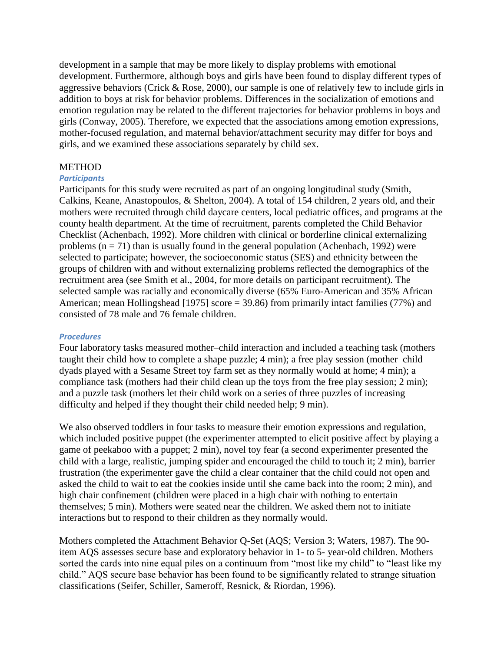development in a sample that may be more likely to display problems with emotional development. Furthermore, although boys and girls have been found to display different types of aggressive behaviors (Crick & Rose, 2000), our sample is one of relatively few to include girls in addition to boys at risk for behavior problems. Differences in the socialization of emotions and emotion regulation may be related to the different trajectories for behavior problems in boys and girls (Conway, 2005). Therefore, we expected that the associations among emotion expressions, mother-focused regulation, and maternal behavior/attachment security may differ for boys and girls, and we examined these associations separately by child sex.

# METHOD

## *Participants*

Participants for this study were recruited as part of an ongoing longitudinal study (Smith, Calkins, Keane, Anastopoulos, & Shelton, 2004). A total of 154 children, 2 years old, and their mothers were recruited through child daycare centers, local pediatric offices, and programs at the county health department. At the time of recruitment, parents completed the Child Behavior Checklist (Achenbach, 1992). More children with clinical or borderline clinical externalizing problems  $(n = 71)$  than is usually found in the general population (Achenbach, 1992) were selected to participate; however, the socioeconomic status (SES) and ethnicity between the groups of children with and without externalizing problems reflected the demographics of the recruitment area (see Smith et al., 2004, for more details on participant recruitment). The selected sample was racially and economically diverse (65% Euro-American and 35% African American; mean Hollingshead [1975] score = 39.86) from primarily intact families (77%) and consisted of 78 male and 76 female children.

## *Procedures*

Four laboratory tasks measured mother–child interaction and included a teaching task (mothers taught their child how to complete a shape puzzle; 4 min); a free play session (mother–child dyads played with a Sesame Street toy farm set as they normally would at home; 4 min); a compliance task (mothers had their child clean up the toys from the free play session; 2 min); and a puzzle task (mothers let their child work on a series of three puzzles of increasing difficulty and helped if they thought their child needed help; 9 min).

We also observed toddlers in four tasks to measure their emotion expressions and regulation, which included positive puppet (the experimenter attempted to elicit positive affect by playing a game of peekaboo with a puppet; 2 min), novel toy fear (a second experimenter presented the child with a large, realistic, jumping spider and encouraged the child to touch it; 2 min), barrier frustration (the experimenter gave the child a clear container that the child could not open and asked the child to wait to eat the cookies inside until she came back into the room; 2 min), and high chair confinement (children were placed in a high chair with nothing to entertain themselves; 5 min). Mothers were seated near the children. We asked them not to initiate interactions but to respond to their children as they normally would.

Mothers completed the Attachment Behavior Q-Set (AQS; Version 3; Waters, 1987). The 90 item AQS assesses secure base and exploratory behavior in 1- to 5- year-old children. Mothers sorted the cards into nine equal piles on a continuum from "most like my child" to "least like my child." AQS secure base behavior has been found to be significantly related to strange situation classifications (Seifer, Schiller, Sameroff, Resnick, & Riordan, 1996).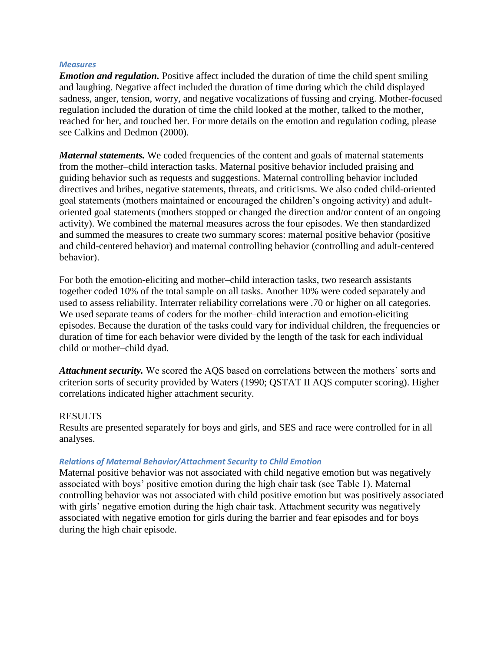#### *Measures*

*Emotion and regulation.* Positive affect included the duration of time the child spent smiling and laughing. Negative affect included the duration of time during which the child displayed sadness, anger, tension, worry, and negative vocalizations of fussing and crying. Mother-focused regulation included the duration of time the child looked at the mother, talked to the mother, reached for her, and touched her. For more details on the emotion and regulation coding, please see Calkins and Dedmon (2000).

*Maternal statements.* We coded frequencies of the content and goals of maternal statements from the mother–child interaction tasks. Maternal positive behavior included praising and guiding behavior such as requests and suggestions. Maternal controlling behavior included directives and bribes, negative statements, threats, and criticisms. We also coded child-oriented goal statements (mothers maintained or encouraged the children's ongoing activity) and adultoriented goal statements (mothers stopped or changed the direction and/or content of an ongoing activity). We combined the maternal measures across the four episodes. We then standardized and summed the measures to create two summary scores: maternal positive behavior (positive and child-centered behavior) and maternal controlling behavior (controlling and adult-centered behavior).

For both the emotion-eliciting and mother–child interaction tasks, two research assistants together coded 10% of the total sample on all tasks. Another 10% were coded separately and used to assess reliability. Interrater reliability correlations were .70 or higher on all categories. We used separate teams of coders for the mother–child interaction and emotion-eliciting episodes. Because the duration of the tasks could vary for individual children, the frequencies or duration of time for each behavior were divided by the length of the task for each individual child or mother–child dyad.

*Attachment security.* We scored the AQS based on correlations between the mothers' sorts and criterion sorts of security provided by Waters (1990; QSTAT II AQS computer scoring). Higher correlations indicated higher attachment security.

### RESULTS

Results are presented separately for boys and girls, and SES and race were controlled for in all analyses.

### *Relations of Maternal Behavior/Attachment Security to Child Emotion*

Maternal positive behavior was not associated with child negative emotion but was negatively associated with boys' positive emotion during the high chair task (see Table 1). Maternal controlling behavior was not associated with child positive emotion but was positively associated with girls' negative emotion during the high chair task. Attachment security was negatively associated with negative emotion for girls during the barrier and fear episodes and for boys during the high chair episode.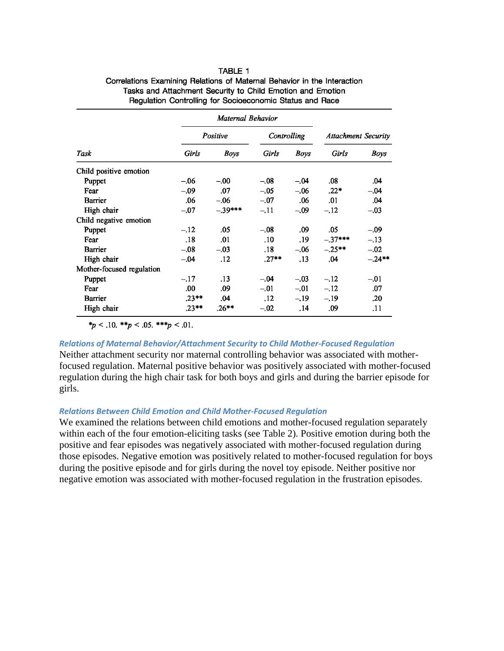#### **TABLE 1**

#### Correlations Examining Relations of Maternal Behavior in the Interaction Tasks and Attachment Security to Child Emotion and Emotion Regulation Controlling for Socioeconomic Status and Race

| Task                      | Maternal Behavior |             |             |             |                            |             |
|---------------------------|-------------------|-------------|-------------|-------------|----------------------------|-------------|
|                           | Positive          |             | Controlling |             | <b>Attachment Security</b> |             |
|                           | Girls             | <b>Boys</b> | Girls       | <b>Boys</b> | Girls                      | <b>Boys</b> |
| Child positive emotion    |                   |             |             |             |                            |             |
| Puppet                    | $-06$             | $-.00$      | $-.08$      | $-.04$      | .08                        | .04         |
| Fear                      | $-.09$            | .07         | $-.05$      | $-.06$      | $.22*$                     | $-.04$      |
| Barrier                   | .06               | $-.06$      | $-.07$      | .06         | .01                        | .04         |
| High chair                | $-.07$            | $-.39***$   | $-.11$      | $-.09$      | $-.12$                     | $-.03$      |
| Child negative emotion    |                   |             |             |             |                            |             |
| Puppet                    | $-.12$            | .05         | $-.08$      | .09         | .05                        | $-.09$      |
| Fear                      | .18               | .01         | .10         | .19         | $-.37***$                  | $-.13$      |
| Barrier                   | $-.08$            | $-.03$      | .18         | $-.06$      | $-.25***$                  | $-.02$      |
| High chair                | $-.04$            | .12         | $.27**$     | .13         | .04                        | $-.24**$    |
| Mother-focused regulation |                   |             |             |             |                            |             |
| Puppet                    | $-.17$            | .13         | $-.04$      | $-.03$      | $-.12$                     | $-.01$      |
| Fear                      | .00.              | .09         | $-.01$      | $-.01$      | $-.12$                     | .07         |
| Barrier                   | $.23**$           | .04         | .12         | $-.19$      | $-.19$                     | .20         |
| High chair                | $.23**$           | $.26***$    | $-.02$      | .14         | .09                        | .11         |

\*p < .10. \*\*p < .05. \*\*\*p < .01.

#### *Relations of Maternal Behavior/Attachment Security to Child Mother-Focused Regulation*

Neither attachment security nor maternal controlling behavior was associated with motherfocused regulation. Maternal positive behavior was positively associated with mother-focused regulation during the high chair task for both boys and girls and during the barrier episode for girls.

#### *Relations Between Child Emotion and Child Mother-Focused Regulation*

We examined the relations between child emotions and mother-focused regulation separately within each of the four emotion-eliciting tasks (see Table 2). Positive emotion during both the positive and fear episodes was negatively associated with mother-focused regulation during those episodes. Negative emotion was positively related to mother-focused regulation for boys during the positive episode and for girls during the novel toy episode. Neither positive nor negative emotion was associated with mother-focused regulation in the frustration episodes.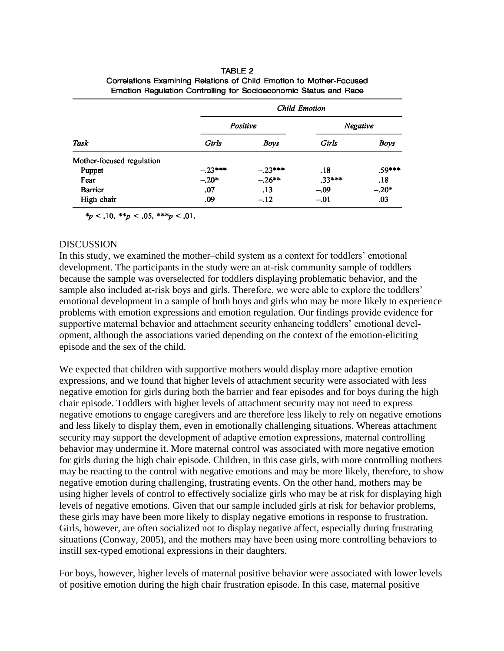|                           | Child Emotion |           |                 |             |  |  |  |
|---------------------------|---------------|-----------|-----------------|-------------|--|--|--|
|                           |               | Positive  | <b>Negative</b> |             |  |  |  |
| Task                      | Girls         | Boys      | Girls           | <b>Boys</b> |  |  |  |
| Mother-focused regulation |               |           |                 |             |  |  |  |
| Puppet                    | $-.23***$     | $-.23***$ | .18             | $.59***$    |  |  |  |
| Fear                      | $-.20*$       | $-.26**$  | $.33***$        | .18         |  |  |  |
| <b>Barrier</b>            | .07           | .13       | $-.09$          | $-.20*$     |  |  |  |
| High chair                | .09           | $-.12$    | $-.01$          | .03         |  |  |  |

#### **TABLE 2** Correlations Examining Relations of Child Emotion to Mother-Focused Emotion Regulation Controlling for Socioeconomic Status and Race

 $*_p$  < .10.  $**_p$  < .05.  $***_p$  < .01.

### DISCUSSION

In this study, we examined the mother–child system as a context for toddlers' emotional development. The participants in the study were an at-risk community sample of toddlers because the sample was overselected for toddlers displaying problematic behavior, and the sample also included at-risk boys and girls. Therefore, we were able to explore the toddlers' emotional development in a sample of both boys and girls who may be more likely to experience problems with emotion expressions and emotion regulation. Our findings provide evidence for supportive maternal behavior and attachment security enhancing toddlers' emotional development, although the associations varied depending on the context of the emotion-eliciting episode and the sex of the child.

We expected that children with supportive mothers would display more adaptive emotion expressions, and we found that higher levels of attachment security were associated with less negative emotion for girls during both the barrier and fear episodes and for boys during the high chair episode. Toddlers with higher levels of attachment security may not need to express negative emotions to engage caregivers and are therefore less likely to rely on negative emotions and less likely to display them, even in emotionally challenging situations. Whereas attachment security may support the development of adaptive emotion expressions, maternal controlling behavior may undermine it. More maternal control was associated with more negative emotion for girls during the high chair episode. Children, in this case girls, with more controlling mothers may be reacting to the control with negative emotions and may be more likely, therefore, to show negative emotion during challenging, frustrating events. On the other hand, mothers may be using higher levels of control to effectively socialize girls who may be at risk for displaying high levels of negative emotions. Given that our sample included girls at risk for behavior problems, these girls may have been more likely to display negative emotions in response to frustration. Girls, however, are often socialized not to display negative affect, especially during frustrating situations (Conway, 2005), and the mothers may have been using more controlling behaviors to instill sex-typed emotional expressions in their daughters.

For boys, however, higher levels of maternal positive behavior were associated with lower levels of positive emotion during the high chair frustration episode. In this case, maternal positive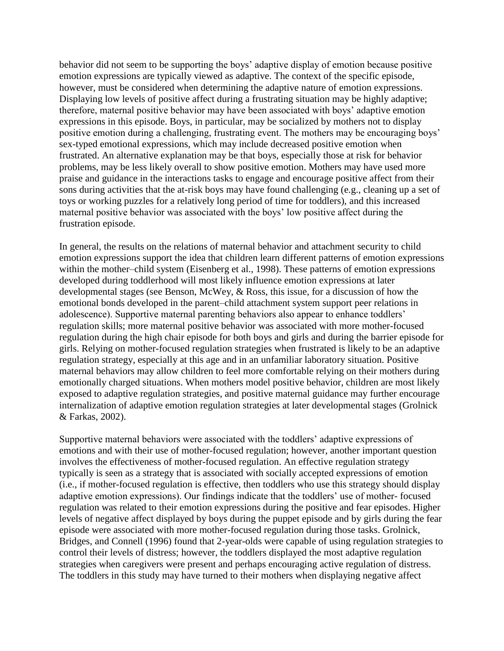behavior did not seem to be supporting the boys' adaptive display of emotion because positive emotion expressions are typically viewed as adaptive. The context of the specific episode, however, must be considered when determining the adaptive nature of emotion expressions. Displaying low levels of positive affect during a frustrating situation may be highly adaptive; therefore, maternal positive behavior may have been associated with boys' adaptive emotion expressions in this episode. Boys, in particular, may be socialized by mothers not to display positive emotion during a challenging, frustrating event. The mothers may be encouraging boys' sex-typed emotional expressions, which may include decreased positive emotion when frustrated. An alternative explanation may be that boys, especially those at risk for behavior problems, may be less likely overall to show positive emotion. Mothers may have used more praise and guidance in the interactions tasks to engage and encourage positive affect from their sons during activities that the at-risk boys may have found challenging (e.g., cleaning up a set of toys or working puzzles for a relatively long period of time for toddlers), and this increased maternal positive behavior was associated with the boys' low positive affect during the frustration episode.

In general, the results on the relations of maternal behavior and attachment security to child emotion expressions support the idea that children learn different patterns of emotion expressions within the mother–child system (Eisenberg et al., 1998). These patterns of emotion expressions developed during toddlerhood will most likely influence emotion expressions at later developmental stages (see Benson, McWey, & Ross, this issue, for a discussion of how the emotional bonds developed in the parent–child attachment system support peer relations in adolescence). Supportive maternal parenting behaviors also appear to enhance toddlers' regulation skills; more maternal positive behavior was associated with more mother-focused regulation during the high chair episode for both boys and girls and during the barrier episode for girls. Relying on mother-focused regulation strategies when frustrated is likely to be an adaptive regulation strategy, especially at this age and in an unfamiliar laboratory situation. Positive maternal behaviors may allow children to feel more comfortable relying on their mothers during emotionally charged situations. When mothers model positive behavior, children are most likely exposed to adaptive regulation strategies, and positive maternal guidance may further encourage internalization of adaptive emotion regulation strategies at later developmental stages (Grolnick & Farkas, 2002).

Supportive maternal behaviors were associated with the toddlers' adaptive expressions of emotions and with their use of mother-focused regulation; however, another important question involves the effectiveness of mother-focused regulation. An effective regulation strategy typically is seen as a strategy that is associated with socially accepted expressions of emotion (i.e., if mother-focused regulation is effective, then toddlers who use this strategy should display adaptive emotion expressions). Our findings indicate that the toddlers' use of mother- focused regulation was related to their emotion expressions during the positive and fear episodes. Higher levels of negative affect displayed by boys during the puppet episode and by girls during the fear episode were associated with more mother-focused regulation during those tasks. Grolnick, Bridges, and Connell (1996) found that 2-year-olds were capable of using regulation strategies to control their levels of distress; however, the toddlers displayed the most adaptive regulation strategies when caregivers were present and perhaps encouraging active regulation of distress. The toddlers in this study may have turned to their mothers when displaying negative affect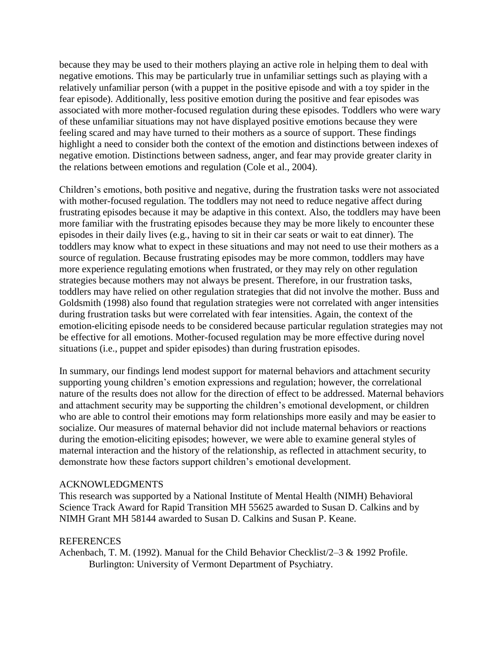because they may be used to their mothers playing an active role in helping them to deal with negative emotions. This may be particularly true in unfamiliar settings such as playing with a relatively unfamiliar person (with a puppet in the positive episode and with a toy spider in the fear episode). Additionally, less positive emotion during the positive and fear episodes was associated with more mother-focused regulation during these episodes. Toddlers who were wary of these unfamiliar situations may not have displayed positive emotions because they were feeling scared and may have turned to their mothers as a source of support. These findings highlight a need to consider both the context of the emotion and distinctions between indexes of negative emotion. Distinctions between sadness, anger, and fear may provide greater clarity in the relations between emotions and regulation (Cole et al., 2004).

Children's emotions, both positive and negative, during the frustration tasks were not associated with mother-focused regulation. The toddlers may not need to reduce negative affect during frustrating episodes because it may be adaptive in this context. Also, the toddlers may have been more familiar with the frustrating episodes because they may be more likely to encounter these episodes in their daily lives (e.g., having to sit in their car seats or wait to eat dinner). The toddlers may know what to expect in these situations and may not need to use their mothers as a source of regulation. Because frustrating episodes may be more common, toddlers may have more experience regulating emotions when frustrated, or they may rely on other regulation strategies because mothers may not always be present. Therefore, in our frustration tasks, toddlers may have relied on other regulation strategies that did not involve the mother. Buss and Goldsmith (1998) also found that regulation strategies were not correlated with anger intensities during frustration tasks but were correlated with fear intensities. Again, the context of the emotion-eliciting episode needs to be considered because particular regulation strategies may not be effective for all emotions. Mother-focused regulation may be more effective during novel situations (i.e., puppet and spider episodes) than during frustration episodes.

In summary, our findings lend modest support for maternal behaviors and attachment security supporting young children's emotion expressions and regulation; however, the correlational nature of the results does not allow for the direction of effect to be addressed. Maternal behaviors and attachment security may be supporting the children's emotional development, or children who are able to control their emotions may form relationships more easily and may be easier to socialize. Our measures of maternal behavior did not include maternal behaviors or reactions during the emotion-eliciting episodes; however, we were able to examine general styles of maternal interaction and the history of the relationship, as reflected in attachment security, to demonstrate how these factors support children's emotional development.

## ACKNOWLEDGMENTS

This research was supported by a National Institute of Mental Health (NIMH) Behavioral Science Track Award for Rapid Transition MH 55625 awarded to Susan D. Calkins and by NIMH Grant MH 58144 awarded to Susan D. Calkins and Susan P. Keane.

### REFERENCES

Achenbach, T. M. (1992). Manual for the Child Behavior Checklist/2–3 & 1992 Profile. Burlington: University of Vermont Department of Psychiatry.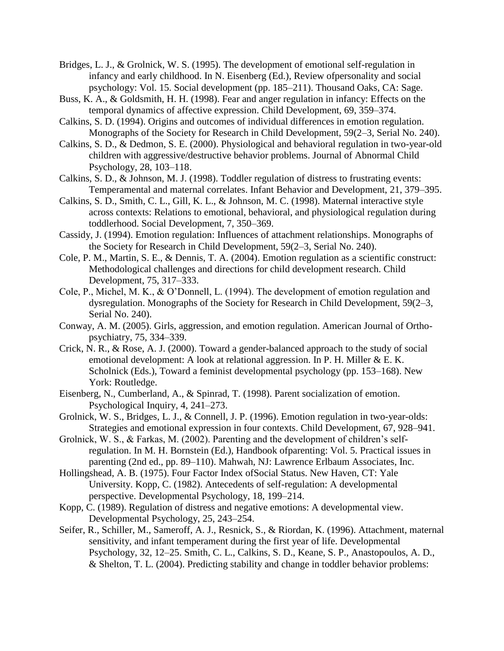- Bridges, L. J., & Grolnick, W. S. (1995). The development of emotional self-regulation in infancy and early childhood. In N. Eisenberg (Ed.), Review ofpersonality and social psychology: Vol. 15. Social development (pp. 185–211). Thousand Oaks, CA: Sage.
- Buss, K. A., & Goldsmith, H. H. (1998). Fear and anger regulation in infancy: Effects on the temporal dynamics of affective expression. Child Development, 69, 359–374.
- Calkins, S. D. (1994). Origins and outcomes of individual differences in emotion regulation. Monographs of the Society for Research in Child Development, 59(2–3, Serial No. 240).
- Calkins, S. D., & Dedmon, S. E. (2000). Physiological and behavioral regulation in two-year-old children with aggressive/destructive behavior problems. Journal of Abnormal Child Psychology, 28, 103–118.
- Calkins, S. D., & Johnson, M. J. (1998). Toddler regulation of distress to frustrating events: Temperamental and maternal correlates. Infant Behavior and Development, 21, 379–395.
- Calkins, S. D., Smith, C. L., Gill, K. L., & Johnson, M. C. (1998). Maternal interactive style across contexts: Relations to emotional, behavioral, and physiological regulation during toddlerhood. Social Development, 7, 350–369.
- Cassidy, J. (1994). Emotion regulation: Influences of attachment relationships. Monographs of the Society for Research in Child Development, 59(2–3, Serial No. 240).
- Cole, P. M., Martin, S. E., & Dennis, T. A. (2004). Emotion regulation as a scientific construct: Methodological challenges and directions for child development research. Child Development, 75, 317–333.
- Cole, P., Michel, M. K., & O'Donnell, L. (1994). The development of emotion regulation and dysregulation. Monographs of the Society for Research in Child Development, 59(2–3, Serial No. 240).
- Conway, A. M. (2005). Girls, aggression, and emotion regulation. American Journal of Orthopsychiatry, 75, 334–339.
- Crick, N. R., & Rose, A. J. (2000). Toward a gender-balanced approach to the study of social emotional development: A look at relational aggression. In P. H. Miller & E. K. Scholnick (Eds.), Toward a feminist developmental psychology (pp. 153–168). New York: Routledge.
- Eisenberg, N., Cumberland, A., & Spinrad, T. (1998). Parent socialization of emotion. Psychological Inquiry, 4, 241–273.
- Grolnick, W. S., Bridges, L. J., & Connell, J. P. (1996). Emotion regulation in two-year-olds: Strategies and emotional expression in four contexts. Child Development, 67, 928–941.
- Grolnick, W. S., & Farkas, M. (2002). Parenting and the development of children's selfregulation. In M. H. Bornstein (Ed.), Handbook ofparenting: Vol. 5. Practical issues in parenting (2nd ed., pp. 89–110). Mahwah, NJ: Lawrence Erlbaum Associates, Inc.
- Hollingshead, A. B. (1975). Four Factor Index ofSocial Status. New Haven, CT: Yale University. Kopp, C. (1982). Antecedents of self-regulation: A developmental perspective. Developmental Psychology, 18, 199–214.
- Kopp, C. (1989). Regulation of distress and negative emotions: A developmental view. Developmental Psychology, 25, 243–254.
- Seifer, R., Schiller, M., Sameroff, A. J., Resnick, S., & Riordan, K. (1996). Attachment, maternal sensitivity, and infant temperament during the first year of life. Developmental Psychology, 32, 12–25. Smith, C. L., Calkins, S. D., Keane, S. P., Anastopoulos, A. D., & Shelton, T. L. (2004). Predicting stability and change in toddler behavior problems: